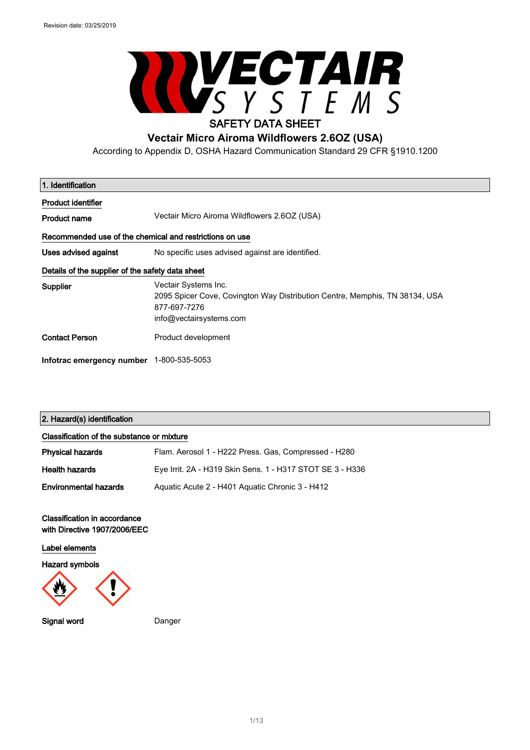$\sqrt{2}$ 



# **Vectair Micro Airoma Wildflowers 2.6OZ (USA)**

According to Appendix D, OSHA Hazard Communication Standard 29 CFR §1910.1200

| 1. Identification                                       |                                                                                                                                                |
|---------------------------------------------------------|------------------------------------------------------------------------------------------------------------------------------------------------|
| Product identifier                                      |                                                                                                                                                |
| <b>Product name</b>                                     | Vectair Micro Airoma Wildflowers 2.6OZ (USA)                                                                                                   |
| Recommended use of the chemical and restrictions on use |                                                                                                                                                |
| Uses advised against                                    | No specific uses advised against are identified.                                                                                               |
| Details of the supplier of the safety data sheet        |                                                                                                                                                |
| Supplier                                                | Vectair Systems Inc.<br>2095 Spicer Cove, Covington Way Distribution Centre, Memphis, TN 38134, USA<br>877-697-7276<br>info@vectairsystems.com |
| <b>Contact Person</b>                                   | Product development                                                                                                                            |
| Infotrac emergency number 1-800-535-5053                |                                                                                                                                                |

### 2. Hazard(s) identification

| Classification of the substance or mixture |                                                           |
|--------------------------------------------|-----------------------------------------------------------|
| <b>Physical hazards</b>                    | Flam. Aerosol 1 - H222 Press. Gas. Compressed - H280      |
| <b>Health hazards</b>                      | Eye Irrit. 2A - H319 Skin Sens. 1 - H317 STOT SE 3 - H336 |
| <b>Environmental hazards</b>               | Aguatic Acute 2 - H401 Aguatic Chronic 3 - H412           |

#### Classification in accordance with Directive 1907/2006/EEC

Label elements

Hazard symbols



Signal word Danger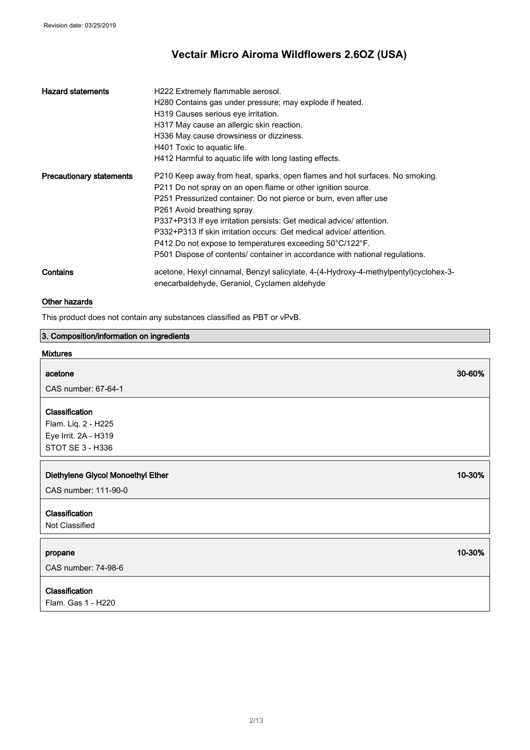| <b>Hazard statements</b>        | H222 Extremely flammable aerosol.<br>H280 Contains gas under pressure; may explode if heated.<br>H319 Causes serious eye irritation.<br>H317 May cause an allergic skin reaction.<br>H336 May cause drowsiness or dizziness.<br>H401 Toxic to aquatic life.<br>H412 Harmful to aquatic life with long lasting effects.                                                                                                                                                                                                                   |
|---------------------------------|------------------------------------------------------------------------------------------------------------------------------------------------------------------------------------------------------------------------------------------------------------------------------------------------------------------------------------------------------------------------------------------------------------------------------------------------------------------------------------------------------------------------------------------|
| <b>Precautionary statements</b> | P210 Keep away from heat, sparks, open flames and hot surfaces. No smoking.<br>P211 Do not spray on an open flame or other ignition source.<br>P251 Pressurized container: Do not pierce or burn, even after use<br>P261 Avoid breathing spray.<br>P337+P313 If eye irritation persists: Get medical advice/attention.<br>P332+P313 If skin irritation occurs: Get medical advice/attention.<br>P412 Do not expose to temperatures exceeding 50°C/122°F.<br>P501 Dispose of contents/ container in accordance with national regulations. |
| Contains                        | acetone, Hexyl cinnamal, Benzyl salicylate, 4-(4-Hydroxy-4-methylpentyl)cyclohex-3-<br>enecarbaldehyde, Geraniol, Cyclamen aldehyde                                                                                                                                                                                                                                                                                                                                                                                                      |

### Other hazards

This product does not contain any substances classified as PBT or vPvB.

### 3. Composition/information on ingredients

### Mixtures

# acetone 30-60% and 30-60% and 30-60% and 30-60% and 30-60% and 30-60% and 30-60% and 30-60% CAS number: 67-64-1 **Classification** Flam. Liq. 2 - H225 Eye Irrit. 2A - H319 STOT SE 3 - H336 Diethylene Glycol Monoethyl Ether 10-30% and the control of the control of the control of the control of the control of the control of the control of the control of the control of the control of the control of the control CAS number: 111-90-0

### Classification

Not Classified

#### propane 10-30% of the state of the state of the state of the state of the state of the state of the state of t

CAS number: 74-98-6

## Classification

Flam. Gas 1 - H220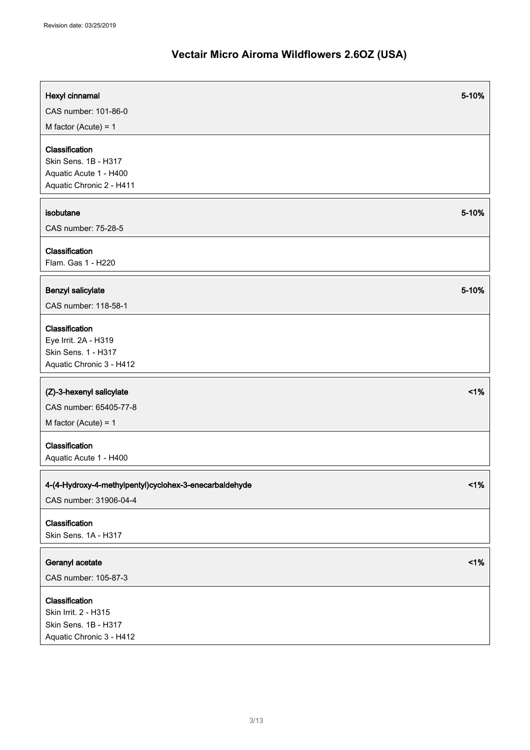| Hexyl cinnamal<br>CAS number: 101-86-0                                                       | 5-10%  |
|----------------------------------------------------------------------------------------------|--------|
| M factor (Acute) = $1$                                                                       |        |
| Classification<br>Skin Sens. 1B - H317<br>Aquatic Acute 1 - H400<br>Aquatic Chronic 2 - H411 |        |
| isobutane                                                                                    | 5-10%  |
| CAS number: 75-28-5                                                                          |        |
| Classification<br>Flam. Gas 1 - H220                                                         |        |
| Benzyl salicylate                                                                            | 5-10%  |
| CAS number: 118-58-1                                                                         |        |
| Classification<br>Eye Irrit. 2A - H319<br>Skin Sens. 1 - H317<br>Aquatic Chronic 3 - H412    |        |
| (Z)-3-hexenyl salicylate                                                                     | $<$ 1% |
| CAS number: 65405-77-8                                                                       |        |
| M factor (Acute) = $1$                                                                       |        |
| Classification<br>Aquatic Acute 1 - H400                                                     |        |
| 4-(4-Hydroxy-4-methylpentyl)cyclohex-3-enecarbaldehyde                                       | 1%     |
| CAS number: 31906-04-4                                                                       |        |
| Classification<br>Skin Sens. 1A - H317                                                       |        |
| Geranyl acetate                                                                              | 1%     |
| CAS number: 105-87-3                                                                         |        |
| Classification<br>Skin Irrit. 2 - H315<br>Skin Sens. 1B - H317<br>Aquatic Chronic 3 - H412   |        |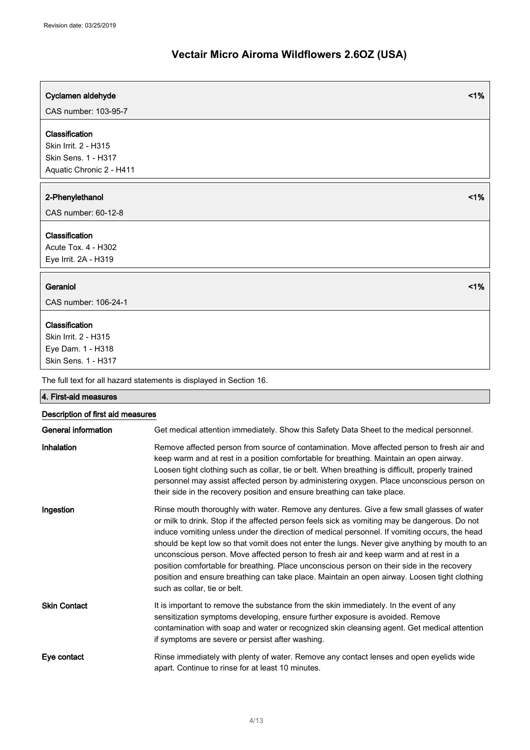# Cyclamen aldehyde <1% CAS number: 103-95-7 Classification Skin Irrit. 2 - H315 Skin Sens. 1 - H317 Aquatic Chronic 2 - H411 2-Phenylethanol <1% CAS number: 60-12-8 Classification Acute Tox. 4 - H302 Eye Irrit. 2A - H319 Geraniol <1% CAS number: 106-24-1 Classification Skin Irrit. 2 - H315 Eye Dam. 1 - H318 Skin Sens. 1 - H317 The full text for all hazard statements is displayed in Section 16. 4. First-aid measures Description of first aid measures General information Get medical attention immediately. Show this Safety Data Sheet to the medical personnel. Inhalation **Remove affected person from source of contamination**. Move affected person to fresh air and keep warm and at rest in a position comfortable for breathing. Maintain an open airway. Loosen tight clothing such as collar, tie or belt. When breathing is difficult, properly trained personnel may assist affected person by administering oxygen. Place unconscious person on their side in the recovery position and ensure breathing can take place. Ingestion **Rinse mouth thoroughly with water. Remove any dentures.** Give a few small glasses of water or milk to drink. Stop if the affected person feels sick as vomiting may be dangerous. Do not induce vomiting unless under the direction of medical personnel. If vomiting occurs, the head

should be kept low so that vomit does not enter the lungs. Never give anything by mouth to an unconscious person. Move affected person to fresh air and keep warm and at rest in a position comfortable for breathing. Place unconscious person on their side in the recovery position and ensure breathing can take place. Maintain an open airway. Loosen tight clothing such as collar, tie or belt. Skin Contact **It is important to remove the substance from the skin immediately.** In the event of any sensitization symptoms developing, ensure further exposure is avoided. Remove contamination with soap and water or recognized skin cleansing agent. Get medical attention if symptoms are severe or persist after washing.

Eye contact **Rinse immediately with plenty of water. Remove any contact lenses and open eyelids wide** apart. Continue to rinse for at least 10 minutes.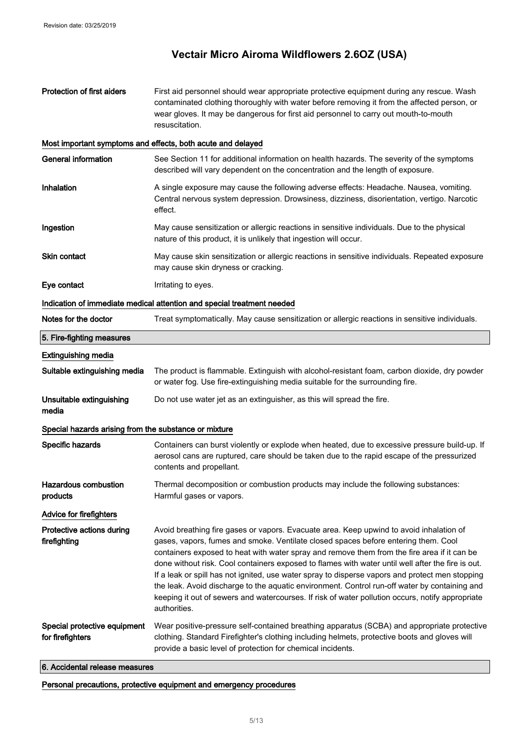| <b>Protection of first aiders</b>                           | First aid personnel should wear appropriate protective equipment during any rescue. Wash<br>contaminated clothing thoroughly with water before removing it from the affected person, or<br>wear gloves. It may be dangerous for first aid personnel to carry out mouth-to-mouth<br>resuscitation.                                                                                                                                                                                                                                                                                                                                                                                                         |
|-------------------------------------------------------------|-----------------------------------------------------------------------------------------------------------------------------------------------------------------------------------------------------------------------------------------------------------------------------------------------------------------------------------------------------------------------------------------------------------------------------------------------------------------------------------------------------------------------------------------------------------------------------------------------------------------------------------------------------------------------------------------------------------|
| Most important symptoms and effects, both acute and delayed |                                                                                                                                                                                                                                                                                                                                                                                                                                                                                                                                                                                                                                                                                                           |
| <b>General information</b>                                  | See Section 11 for additional information on health hazards. The severity of the symptoms<br>described will vary dependent on the concentration and the length of exposure.                                                                                                                                                                                                                                                                                                                                                                                                                                                                                                                               |
| <b>Inhalation</b>                                           | A single exposure may cause the following adverse effects: Headache. Nausea, vomiting.<br>Central nervous system depression. Drowsiness, dizziness, disorientation, vertigo. Narcotic<br>effect.                                                                                                                                                                                                                                                                                                                                                                                                                                                                                                          |
| Ingestion                                                   | May cause sensitization or allergic reactions in sensitive individuals. Due to the physical<br>nature of this product, it is unlikely that ingestion will occur.                                                                                                                                                                                                                                                                                                                                                                                                                                                                                                                                          |
| Skin contact                                                | May cause skin sensitization or allergic reactions in sensitive individuals. Repeated exposure<br>may cause skin dryness or cracking.                                                                                                                                                                                                                                                                                                                                                                                                                                                                                                                                                                     |
| Eye contact                                                 | Irritating to eyes.                                                                                                                                                                                                                                                                                                                                                                                                                                                                                                                                                                                                                                                                                       |
|                                                             | Indication of immediate medical attention and special treatment needed                                                                                                                                                                                                                                                                                                                                                                                                                                                                                                                                                                                                                                    |
| Notes for the doctor                                        | Treat symptomatically. May cause sensitization or allergic reactions in sensitive individuals.                                                                                                                                                                                                                                                                                                                                                                                                                                                                                                                                                                                                            |
| 5. Fire-fighting measures                                   |                                                                                                                                                                                                                                                                                                                                                                                                                                                                                                                                                                                                                                                                                                           |
| <b>Extinguishing media</b>                                  |                                                                                                                                                                                                                                                                                                                                                                                                                                                                                                                                                                                                                                                                                                           |
| Suitable extinguishing media                                | The product is flammable. Extinguish with alcohol-resistant foam, carbon dioxide, dry powder<br>or water fog. Use fire-extinguishing media suitable for the surrounding fire.                                                                                                                                                                                                                                                                                                                                                                                                                                                                                                                             |
| Unsuitable extinguishing<br>media                           | Do not use water jet as an extinguisher, as this will spread the fire.                                                                                                                                                                                                                                                                                                                                                                                                                                                                                                                                                                                                                                    |
| Special hazards arising from the substance or mixture       |                                                                                                                                                                                                                                                                                                                                                                                                                                                                                                                                                                                                                                                                                                           |
| Specific hazards                                            | Containers can burst violently or explode when heated, due to excessive pressure build-up. If<br>aerosol cans are ruptured, care should be taken due to the rapid escape of the pressurized<br>contents and propellant.                                                                                                                                                                                                                                                                                                                                                                                                                                                                                   |
| <b>Hazardous combustion</b><br>products                     | Thermal decomposition or combustion products may include the following substances:<br>Harmful gases or vapors.                                                                                                                                                                                                                                                                                                                                                                                                                                                                                                                                                                                            |
| <b>Advice for firefighters</b>                              |                                                                                                                                                                                                                                                                                                                                                                                                                                                                                                                                                                                                                                                                                                           |
| Protective actions during<br>firefighting                   | Avoid breathing fire gases or vapors. Evacuate area. Keep upwind to avoid inhalation of<br>gases, vapors, fumes and smoke. Ventilate closed spaces before entering them. Cool<br>containers exposed to heat with water spray and remove them from the fire area if it can be<br>done without risk. Cool containers exposed to flames with water until well after the fire is out.<br>If a leak or spill has not ignited, use water spray to disperse vapors and protect men stopping<br>the leak. Avoid discharge to the aquatic environment. Control run-off water by containing and<br>keeping it out of sewers and watercourses. If risk of water pollution occurs, notify appropriate<br>authorities. |
| Special protective equipment<br>for firefighters            | Wear positive-pressure self-contained breathing apparatus (SCBA) and appropriate protective<br>clothing. Standard Firefighter's clothing including helmets, protective boots and gloves will<br>provide a basic level of protection for chemical incidents.                                                                                                                                                                                                                                                                                                                                                                                                                                               |

### 6. Accidental release measures

Personal precautions, protective equipment and emergency procedures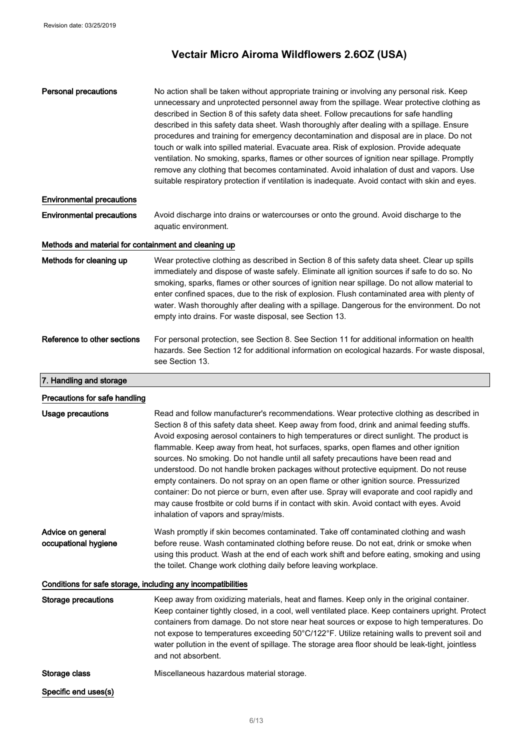| <b>Personal precautions</b>                                  | No action shall be taken without appropriate training or involving any personal risk. Keep<br>unnecessary and unprotected personnel away from the spillage. Wear protective clothing as<br>described in Section 8 of this safety data sheet. Follow precautions for safe handling<br>described in this safety data sheet. Wash thoroughly after dealing with a spillage. Ensure<br>procedures and training for emergency decontamination and disposal are in place. Do not<br>touch or walk into spilled material. Evacuate area. Risk of explosion. Provide adequate<br>ventilation. No smoking, sparks, flames or other sources of ignition near spillage. Promptly<br>remove any clothing that becomes contaminated. Avoid inhalation of dust and vapors. Use<br>suitable respiratory protection if ventilation is inadequate. Avoid contact with skin and eyes.                     |
|--------------------------------------------------------------|-----------------------------------------------------------------------------------------------------------------------------------------------------------------------------------------------------------------------------------------------------------------------------------------------------------------------------------------------------------------------------------------------------------------------------------------------------------------------------------------------------------------------------------------------------------------------------------------------------------------------------------------------------------------------------------------------------------------------------------------------------------------------------------------------------------------------------------------------------------------------------------------|
| <b>Environmental precautions</b>                             |                                                                                                                                                                                                                                                                                                                                                                                                                                                                                                                                                                                                                                                                                                                                                                                                                                                                                         |
| <b>Environmental precautions</b>                             | Avoid discharge into drains or watercourses or onto the ground. Avoid discharge to the<br>aquatic environment.                                                                                                                                                                                                                                                                                                                                                                                                                                                                                                                                                                                                                                                                                                                                                                          |
| Methods and material for containment and cleaning up         |                                                                                                                                                                                                                                                                                                                                                                                                                                                                                                                                                                                                                                                                                                                                                                                                                                                                                         |
| Methods for cleaning up                                      | Wear protective clothing as described in Section 8 of this safety data sheet. Clear up spills<br>immediately and dispose of waste safely. Eliminate all ignition sources if safe to do so. No<br>smoking, sparks, flames or other sources of ignition near spillage. Do not allow material to<br>enter confined spaces, due to the risk of explosion. Flush contaminated area with plenty of<br>water. Wash thoroughly after dealing with a spillage. Dangerous for the environment. Do not<br>empty into drains. For waste disposal, see Section 13.                                                                                                                                                                                                                                                                                                                                   |
| Reference to other sections                                  | For personal protection, see Section 8. See Section 11 for additional information on health<br>hazards. See Section 12 for additional information on ecological hazards. For waste disposal,<br>see Section 13.                                                                                                                                                                                                                                                                                                                                                                                                                                                                                                                                                                                                                                                                         |
| 7. Handling and storage                                      |                                                                                                                                                                                                                                                                                                                                                                                                                                                                                                                                                                                                                                                                                                                                                                                                                                                                                         |
| Precautions for safe handling                                |                                                                                                                                                                                                                                                                                                                                                                                                                                                                                                                                                                                                                                                                                                                                                                                                                                                                                         |
| Usage precautions                                            | Read and follow manufacturer's recommendations. Wear protective clothing as described in<br>Section 8 of this safety data sheet. Keep away from food, drink and animal feeding stuffs.<br>Avoid exposing aerosol containers to high temperatures or direct sunlight. The product is<br>flammable. Keep away from heat, hot surfaces, sparks, open flames and other ignition<br>sources. No smoking. Do not handle until all safety precautions have been read and<br>understood. Do not handle broken packages without protective equipment. Do not reuse<br>empty containers. Do not spray on an open flame or other ignition source. Pressurized<br>container: Do not pierce or burn, even after use. Spray will evaporate and cool rapidly and<br>may cause frostbite or cold burns if in contact with skin. Avoid contact with eyes. Avoid<br>inhalation of vapors and spray/mists. |
| Advice on general<br>occupational hygiene                    | Wash promptly if skin becomes contaminated. Take off contaminated clothing and wash<br>before reuse. Wash contaminated clothing before reuse. Do not eat, drink or smoke when<br>using this product. Wash at the end of each work shift and before eating, smoking and using<br>the toilet. Change work clothing daily before leaving workplace.                                                                                                                                                                                                                                                                                                                                                                                                                                                                                                                                        |
| Conditions for safe storage, including any incompatibilities |                                                                                                                                                                                                                                                                                                                                                                                                                                                                                                                                                                                                                                                                                                                                                                                                                                                                                         |
| <b>Storage precautions</b>                                   | Keep away from oxidizing materials, heat and flames. Keep only in the original container.<br>Keep container tightly closed, in a cool, well ventilated place. Keep containers upright. Protect<br>containers from damage. Do not store near heat sources or expose to high temperatures. Do<br>not expose to temperatures exceeding 50°C/122°F. Utilize retaining walls to prevent soil and<br>water pollution in the event of spillage. The storage area floor should be leak-tight, jointless<br>and not absorbent.                                                                                                                                                                                                                                                                                                                                                                   |
| Storage class                                                | Miscellaneous hazardous material storage.                                                                                                                                                                                                                                                                                                                                                                                                                                                                                                                                                                                                                                                                                                                                                                                                                                               |
| Specific end uses(s)                                         |                                                                                                                                                                                                                                                                                                                                                                                                                                                                                                                                                                                                                                                                                                                                                                                                                                                                                         |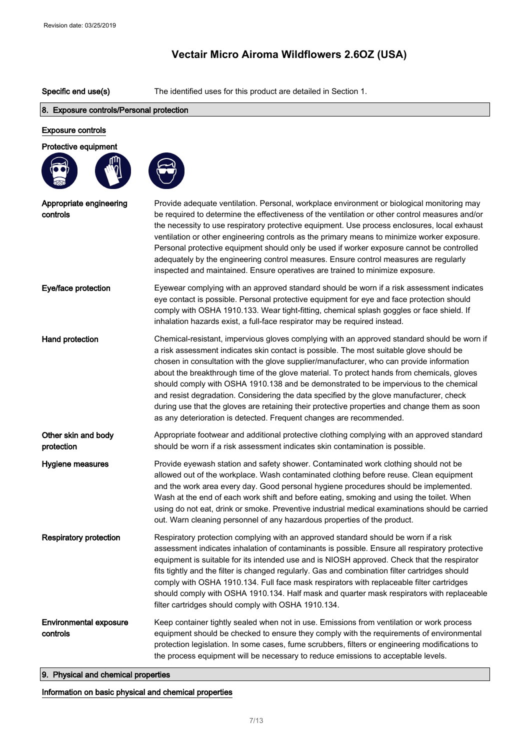Specific end use(s) The identified uses for this product are detailed in Section 1.

#### 8. Exposure controls/Personal protection

## Exposure controls Protective equipment Appropriate engineering controls Provide adequate ventilation. Personal, workplace environment or biological monitoring may be required to determine the effectiveness of the ventilation or other control measures and/or the necessity to use respiratory protective equipment. Use process enclosures, local exhaust ventilation or other engineering controls as the primary means to minimize worker exposure. Personal protective equipment should only be used if worker exposure cannot be controlled adequately by the engineering control measures. Ensure control measures are regularly inspected and maintained. Ensure operatives are trained to minimize exposure. Eye/face protection Eyewear complying with an approved standard should be worn if a risk assessment indicates eye contact is possible. Personal protective equipment for eye and face protection should comply with OSHA 1910.133. Wear tight-fitting, chemical splash goggles or face shield. If inhalation hazards exist, a full-face respirator may be required instead. Hand protection **Chemical-resistant, impervious gloves complying with an approved standard should be worn if** a risk assessment indicates skin contact is possible. The most suitable glove should be chosen in consultation with the glove supplier/manufacturer, who can provide information about the breakthrough time of the glove material. To protect hands from chemicals, gloves should comply with OSHA 1910.138 and be demonstrated to be impervious to the chemical and resist degradation. Considering the data specified by the glove manufacturer, check during use that the gloves are retaining their protective properties and change them as soon as any deterioration is detected. Frequent changes are recommended. Other skin and body protection Appropriate footwear and additional protective clothing complying with an approved standard should be worn if a risk assessment indicates skin contamination is possible. Hygiene measures **Provide eyewash station and safety shower**. Contaminated work clothing should not be allowed out of the workplace. Wash contaminated clothing before reuse. Clean equipment and the work area every day. Good personal hygiene procedures should be implemented. Wash at the end of each work shift and before eating, smoking and using the toilet. When using do not eat, drink or smoke. Preventive industrial medical examinations should be carried out. Warn cleaning personnel of any hazardous properties of the product. Respiratory protection Respiratory protection complying with an approved standard should be worn if a risk assessment indicates inhalation of contaminants is possible. Ensure all respiratory protective equipment is suitable for its intended use and is NIOSH approved. Check that the respirator fits tightly and the filter is changed regularly. Gas and combination filter cartridges should comply with OSHA 1910.134. Full face mask respirators with replaceable filter cartridges should comply with OSHA 1910.134. Half mask and quarter mask respirators with replaceable filter cartridges should comply with OSHA 1910.134. Environmental exposure controls Keep container tightly sealed when not in use. Emissions from ventilation or work process equipment should be checked to ensure they comply with the requirements of environmental protection legislation. In some cases, fume scrubbers, filters or engineering modifications to the process equipment will be necessary to reduce emissions to acceptable levels.

9. Physical and chemical properties

Information on basic physical and chemical properties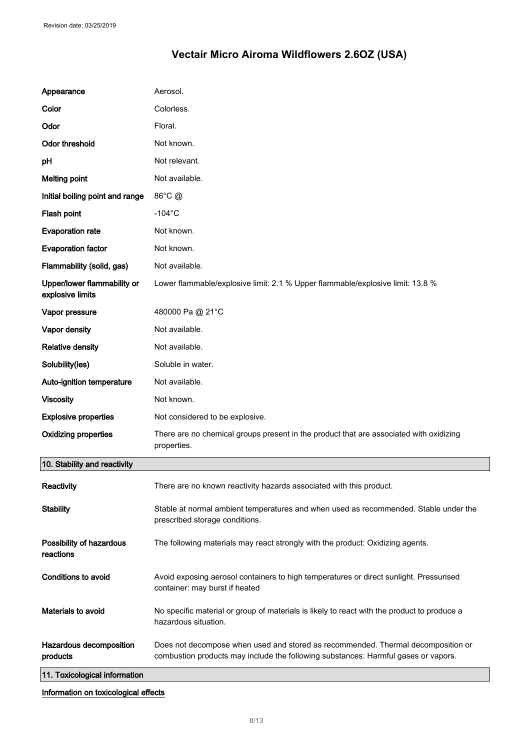| Appearance                                      | Aerosol.                                                                                                                                                               |
|-------------------------------------------------|------------------------------------------------------------------------------------------------------------------------------------------------------------------------|
| Color                                           | Colorless.                                                                                                                                                             |
| Odor                                            | Floral.                                                                                                                                                                |
| <b>Odor threshold</b>                           | Not known.                                                                                                                                                             |
| рH                                              | Not relevant.                                                                                                                                                          |
| <b>Melting point</b>                            | Not available.                                                                                                                                                         |
| Initial boiling point and range                 | 86°C @                                                                                                                                                                 |
| Flash point                                     | $-104$ °C                                                                                                                                                              |
| <b>Evaporation rate</b>                         | Not known.                                                                                                                                                             |
| <b>Evaporation factor</b>                       | Not known.                                                                                                                                                             |
| Flammability (solid, gas)                       | Not available.                                                                                                                                                         |
| Upper/lower flammability or<br>explosive limits | Lower flammable/explosive limit: 2.1 % Upper flammable/explosive limit: 13.8 %                                                                                         |
| Vapor pressure                                  | 480000 Pa @ 21°C                                                                                                                                                       |
| Vapor density                                   | Not available.                                                                                                                                                         |
| <b>Relative density</b>                         | Not available.                                                                                                                                                         |
| Solubility(ies)                                 | Soluble in water.                                                                                                                                                      |
| Auto-ignition temperature                       | Not available.                                                                                                                                                         |
| <b>Viscosity</b>                                | Not known.                                                                                                                                                             |
| <b>Explosive properties</b>                     | Not considered to be explosive.                                                                                                                                        |
| <b>Oxidizing properties</b>                     | There are no chemical groups present in the product that are associated with oxidizing<br>properties.                                                                  |
| 10. Stability and reactivity                    |                                                                                                                                                                        |
| Reactivity                                      | There are no known reactivity hazards associated with this product.                                                                                                    |
| <b>Stability</b>                                | Stable at normal ambient temperatures and when used as recommended. Stable under the<br>prescribed storage conditions.                                                 |
| Possibility of hazardous<br>reactions           | The following materials may react strongly with the product: Oxidizing agents.                                                                                         |
| <b>Conditions to avoid</b>                      | Avoid exposing aerosol containers to high temperatures or direct sunlight. Pressurised<br>container: may burst if heated                                               |
| Materials to avoid                              | No specific material or group of materials is likely to react with the product to produce a<br>hazardous situation.                                                    |
| Hazardous decomposition<br>products             | Does not decompose when used and stored as recommended. Thermal decomposition or<br>combustion products may include the following substances: Harmful gases or vapors. |
| 11. Toxicological information                   |                                                                                                                                                                        |
| Information on toxicological effects            |                                                                                                                                                                        |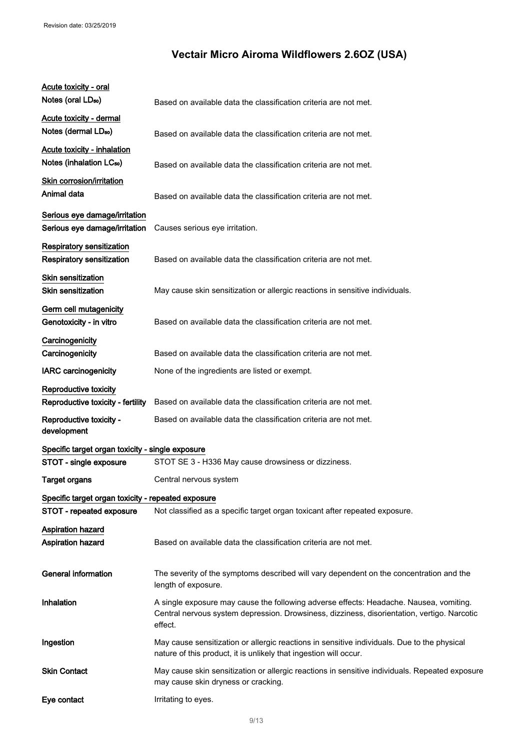| Acute toxicity - oral<br>Notes (oral LD <sub>50</sub> )                    | Based on available data the classification criteria are not met.                                                                                                                                 |
|----------------------------------------------------------------------------|--------------------------------------------------------------------------------------------------------------------------------------------------------------------------------------------------|
| <b>Acute toxicity - dermal</b><br>Notes (dermal LD <sub>50</sub> )         | Based on available data the classification criteria are not met.                                                                                                                                 |
| <b>Acute toxicity - inhalation</b><br>Notes (inhalation LC <sub>50</sub> ) | Based on available data the classification criteria are not met.                                                                                                                                 |
| Skin corrosion/irritation<br>Animal data                                   | Based on available data the classification criteria are not met.                                                                                                                                 |
| Serious eye damage/irritation<br>Serious eye damage/irritation             | Causes serious eye irritation.                                                                                                                                                                   |
| Respiratory sensitization<br><b>Respiratory sensitization</b>              | Based on available data the classification criteria are not met.                                                                                                                                 |
| Skin sensitization<br><b>Skin sensitization</b>                            | May cause skin sensitization or allergic reactions in sensitive individuals.                                                                                                                     |
| Germ cell mutagenicity<br>Genotoxicity - in vitro                          | Based on available data the classification criteria are not met.                                                                                                                                 |
| Carcinogenicity<br>Carcinogenicity                                         | Based on available data the classification criteria are not met.                                                                                                                                 |
| <b>IARC</b> carcinogenicity                                                | None of the ingredients are listed or exempt.                                                                                                                                                    |
| Reproductive toxicity<br>Reproductive toxicity - fertility                 | Based on available data the classification criteria are not met.                                                                                                                                 |
| Reproductive toxicity -<br>development                                     | Based on available data the classification criteria are not met.                                                                                                                                 |
| Specific target organ toxicity - single exposure                           |                                                                                                                                                                                                  |
| STOT - single exposure                                                     | STOT SE 3 - H336 May cause drowsiness or dizziness.                                                                                                                                              |
| <b>Target organs</b>                                                       | Central nervous system                                                                                                                                                                           |
| Specific target organ toxicity - repeated exposure                         |                                                                                                                                                                                                  |
| STOT - repeated exposure                                                   | Not classified as a specific target organ toxicant after repeated exposure.                                                                                                                      |
| <b>Aspiration hazard</b><br><b>Aspiration hazard</b>                       | Based on available data the classification criteria are not met.                                                                                                                                 |
| <b>General information</b>                                                 | The severity of the symptoms described will vary dependent on the concentration and the<br>length of exposure.                                                                                   |
| Inhalation                                                                 | A single exposure may cause the following adverse effects: Headache. Nausea, vomiting.<br>Central nervous system depression. Drowsiness, dizziness, disorientation, vertigo. Narcotic<br>effect. |
| Ingestion                                                                  | May cause sensitization or allergic reactions in sensitive individuals. Due to the physical<br>nature of this product, it is unlikely that ingestion will occur.                                 |
| <b>Skin Contact</b>                                                        | May cause skin sensitization or allergic reactions in sensitive individuals. Repeated exposure<br>may cause skin dryness or cracking.                                                            |
| Eye contact                                                                | Irritating to eyes.                                                                                                                                                                              |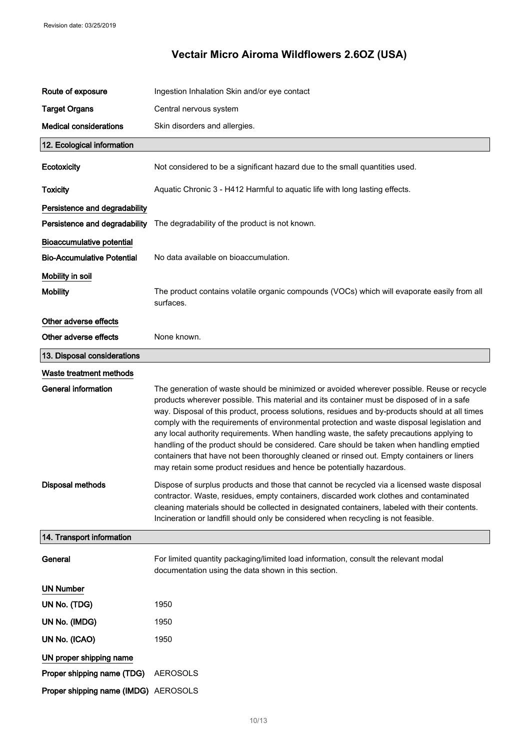| Route of exposure                    | Ingestion Inhalation Skin and/or eye contact                                                                                                                                                                                                                                                                                                                                                                                                                                                                                                                                                                                                                                                                                                            |
|--------------------------------------|---------------------------------------------------------------------------------------------------------------------------------------------------------------------------------------------------------------------------------------------------------------------------------------------------------------------------------------------------------------------------------------------------------------------------------------------------------------------------------------------------------------------------------------------------------------------------------------------------------------------------------------------------------------------------------------------------------------------------------------------------------|
| <b>Target Organs</b>                 | Central nervous system                                                                                                                                                                                                                                                                                                                                                                                                                                                                                                                                                                                                                                                                                                                                  |
| <b>Medical considerations</b>        | Skin disorders and allergies.                                                                                                                                                                                                                                                                                                                                                                                                                                                                                                                                                                                                                                                                                                                           |
| 12. Ecological information           |                                                                                                                                                                                                                                                                                                                                                                                                                                                                                                                                                                                                                                                                                                                                                         |
| Ecotoxicity                          | Not considered to be a significant hazard due to the small quantities used.                                                                                                                                                                                                                                                                                                                                                                                                                                                                                                                                                                                                                                                                             |
| <b>Toxicity</b>                      | Aquatic Chronic 3 - H412 Harmful to aquatic life with long lasting effects.                                                                                                                                                                                                                                                                                                                                                                                                                                                                                                                                                                                                                                                                             |
| Persistence and degradability        |                                                                                                                                                                                                                                                                                                                                                                                                                                                                                                                                                                                                                                                                                                                                                         |
| Persistence and degradability        | The degradability of the product is not known.                                                                                                                                                                                                                                                                                                                                                                                                                                                                                                                                                                                                                                                                                                          |
| <b>Bioaccumulative potential</b>     |                                                                                                                                                                                                                                                                                                                                                                                                                                                                                                                                                                                                                                                                                                                                                         |
| <b>Bio-Accumulative Potential</b>    | No data available on bioaccumulation.                                                                                                                                                                                                                                                                                                                                                                                                                                                                                                                                                                                                                                                                                                                   |
| Mobility in soil                     |                                                                                                                                                                                                                                                                                                                                                                                                                                                                                                                                                                                                                                                                                                                                                         |
| <b>Mobility</b>                      | The product contains volatile organic compounds (VOCs) which will evaporate easily from all<br>surfaces.                                                                                                                                                                                                                                                                                                                                                                                                                                                                                                                                                                                                                                                |
| Other adverse effects                |                                                                                                                                                                                                                                                                                                                                                                                                                                                                                                                                                                                                                                                                                                                                                         |
| Other adverse effects                | None known.                                                                                                                                                                                                                                                                                                                                                                                                                                                                                                                                                                                                                                                                                                                                             |
| 13. Disposal considerations          |                                                                                                                                                                                                                                                                                                                                                                                                                                                                                                                                                                                                                                                                                                                                                         |
| Waste treatment methods              |                                                                                                                                                                                                                                                                                                                                                                                                                                                                                                                                                                                                                                                                                                                                                         |
| <b>General information</b>           | The generation of waste should be minimized or avoided wherever possible. Reuse or recycle<br>products wherever possible. This material and its container must be disposed of in a safe<br>way. Disposal of this product, process solutions, residues and by-products should at all times<br>comply with the requirements of environmental protection and waste disposal legislation and<br>any local authority requirements. When handling waste, the safety precautions applying to<br>handling of the product should be considered. Care should be taken when handling emptied<br>containers that have not been thoroughly cleaned or rinsed out. Empty containers or liners<br>may retain some product residues and hence be potentially hazardous. |
| Disposal methods                     | Dispose of surplus products and those that cannot be recycled via a licensed waste disposal<br>contractor. Waste, residues, empty containers, discarded work clothes and contaminated<br>cleaning materials should be collected in designated containers, labeled with their contents.<br>Incineration or landfill should only be considered when recycling is not feasible.                                                                                                                                                                                                                                                                                                                                                                            |
| 14. Transport information            |                                                                                                                                                                                                                                                                                                                                                                                                                                                                                                                                                                                                                                                                                                                                                         |
| General                              | For limited quantity packaging/limited load information, consult the relevant modal<br>documentation using the data shown in this section.                                                                                                                                                                                                                                                                                                                                                                                                                                                                                                                                                                                                              |
| <b>UN Number</b>                     |                                                                                                                                                                                                                                                                                                                                                                                                                                                                                                                                                                                                                                                                                                                                                         |
| UN No. (TDG)                         | 1950                                                                                                                                                                                                                                                                                                                                                                                                                                                                                                                                                                                                                                                                                                                                                    |
| UN No. (IMDG)                        | 1950                                                                                                                                                                                                                                                                                                                                                                                                                                                                                                                                                                                                                                                                                                                                                    |
| UN No. (ICAO)                        | 1950                                                                                                                                                                                                                                                                                                                                                                                                                                                                                                                                                                                                                                                                                                                                                    |
| UN proper shipping name              |                                                                                                                                                                                                                                                                                                                                                                                                                                                                                                                                                                                                                                                                                                                                                         |
| Proper shipping name (TDG)           | <b>AEROSOLS</b>                                                                                                                                                                                                                                                                                                                                                                                                                                                                                                                                                                                                                                                                                                                                         |
| Proper shipping name (IMDG) AEROSOLS |                                                                                                                                                                                                                                                                                                                                                                                                                                                                                                                                                                                                                                                                                                                                                         |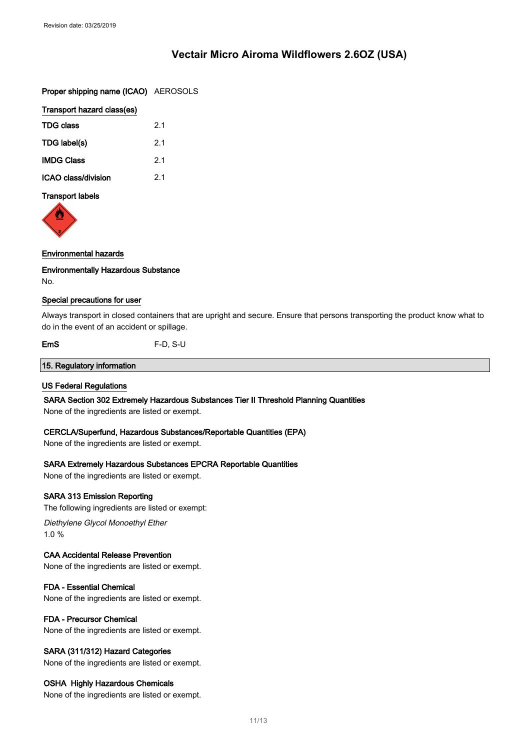Proper shipping name (ICAO) AEROSOLS

| Transport hazard class(es) |  |
|----------------------------|--|
| 2.1                        |  |
| 21                         |  |
| 2.1                        |  |
| 2.1                        |  |
|                            |  |

## Transport labels



#### Environmental hazards

Environmentally Hazardous Substance No.

#### Special precautions for user

Always transport in closed containers that are upright and secure. Ensure that persons transporting the product know what to do in the event of an accident or spillage.

EmS F-D, S-U

#### 15. Regulatory information

#### US Federal Regulations

SARA Section 302 Extremely Hazardous Substances Tier II Threshold Planning Quantities

None of the ingredients are listed or exempt.

#### CERCLA/Superfund, Hazardous Substances/Reportable Quantities (EPA)

None of the ingredients are listed or exempt.

#### SARA Extremely Hazardous Substances EPCRA Reportable Quantities

None of the ingredients are listed or exempt.

#### SARA 313 Emission Reporting

The following ingredients are listed or exempt:

Diethylene Glycol Monoethyl Ether 1.0 %

#### CAA Accidental Release Prevention

None of the ingredients are listed or exempt.

#### FDA - Essential Chemical

None of the ingredients are listed or exempt.

#### FDA - Precursor Chemical

None of the ingredients are listed or exempt.

## SARA (311/312) Hazard Categories

None of the ingredients are listed or exempt.

#### OSHA Highly Hazardous Chemicals

None of the ingredients are listed or exempt.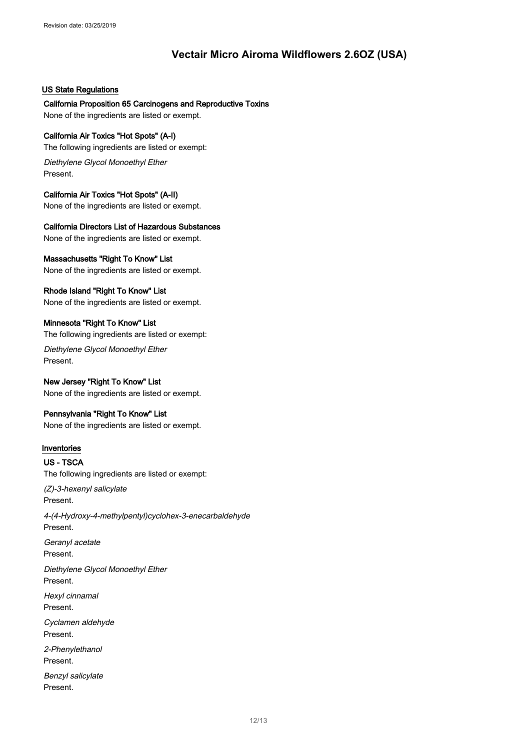#### US State Regulations

California Proposition 65 Carcinogens and Reproductive Toxins None of the ingredients are listed or exempt.

### California Air Toxics "Hot Spots" (A-I)

The following ingredients are listed or exempt:

Diethylene Glycol Monoethyl Ether Present.

#### California Air Toxics "Hot Spots" (A-II)

None of the ingredients are listed or exempt.

#### California Directors List of Hazardous Substances

None of the ingredients are listed or exempt.

## Massachusetts "Right To Know" List

None of the ingredients are listed or exempt.

### Rhode Island "Right To Know" List

None of the ingredients are listed or exempt.

#### Minnesota "Right To Know" List

The following ingredients are listed or exempt:

Diethylene Glycol Monoethyl Ether Present.

# New Jersey "Right To Know" List

None of the ingredients are listed or exempt.

## Pennsylvania "Right To Know" List

None of the ingredients are listed or exempt.

## Inventories

# US - TSCA

The following ingredients are listed or exempt:

(Z)-3-hexenyl salicylate Present.

4-(4-Hydroxy-4-methylpentyl)cyclohex-3-enecarbaldehyde Present. Geranyl acetate Present.

Diethylene Glycol Monoethyl Ether Present.

Hexyl cinnamal Present.

Cyclamen aldehyde Present.

2-Phenylethanol Present.

Benzyl salicylate Present.